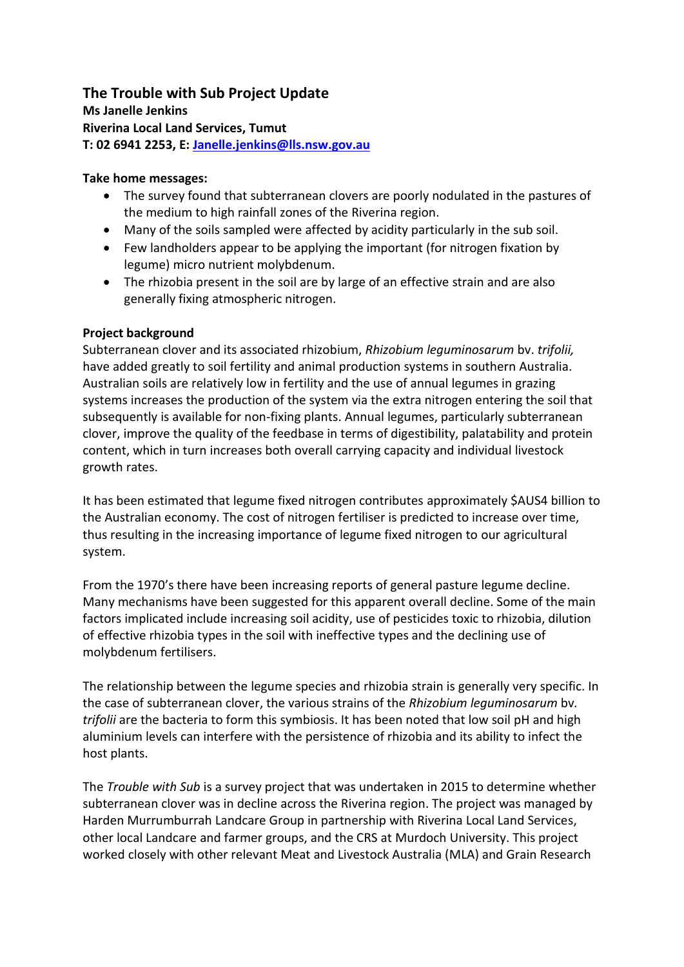#### **The Trouble with Sub Project Update Ms Janelle Jenkins**

**Riverina Local Land Services, Tumut T: 02 6941 2253, E: [Janelle.jenkins@lls.nsw.gov.au](mailto:Janelle.jenkins@lls.nsw.gov.au)**

# **Take home messages:**

- The survey found that subterranean clovers are poorly nodulated in the pastures of the medium to high rainfall zones of the Riverina region.
- Many of the soils sampled were affected by acidity particularly in the sub soil.
- Few landholders appear to be applying the important (for nitrogen fixation by legume) micro nutrient molybdenum.
- The rhizobia present in the soil are by large of an effective strain and are also generally fixing atmospheric nitrogen.

# **Project background**

Subterranean clover and its associated rhizobium, *Rhizobium leguminosarum* bv. *trifolii,*  have added greatly to soil fertility and animal production systems in southern Australia. Australian soils are relatively low in fertility and the use of annual legumes in grazing systems increases the production of the system via the extra nitrogen entering the soil that subsequently is available for non-fixing plants. Annual legumes, particularly subterranean clover, improve the quality of the feedbase in terms of digestibility, palatability and protein content, which in turn increases both overall carrying capacity and individual livestock growth rates.

It has been estimated that legume fixed nitrogen contributes approximately \$AUS4 billion to the Australian economy. The cost of nitrogen fertiliser is predicted to increase over time, thus resulting in the increasing importance of legume fixed nitrogen to our agricultural system.

From the 1970's there have been increasing reports of general pasture legume decline. Many mechanisms have been suggested for this apparent overall decline. Some of the main factors implicated include increasing soil acidity, use of pesticides toxic to rhizobia, dilution of effective rhizobia types in the soil with ineffective types and the declining use of molybdenum fertilisers.

The relationship between the legume species and rhizobia strain is generally very specific. In the case of subterranean clover, the various strains of the *Rhizobium leguminosarum* bv*. trifolii* are the bacteria to form this symbiosis. It has been noted that low soil pH and high aluminium levels can interfere with the persistence of rhizobia and its ability to infect the host plants.

The *Trouble with Sub* is a survey project that was undertaken in 2015 to determine whether subterranean clover was in decline across the Riverina region. The project was managed by Harden Murrumburrah Landcare Group in partnership with Riverina Local Land Services, other local Landcare and farmer groups, and the CRS at Murdoch University. This project worked closely with other relevant Meat and Livestock Australia (MLA) and Grain Research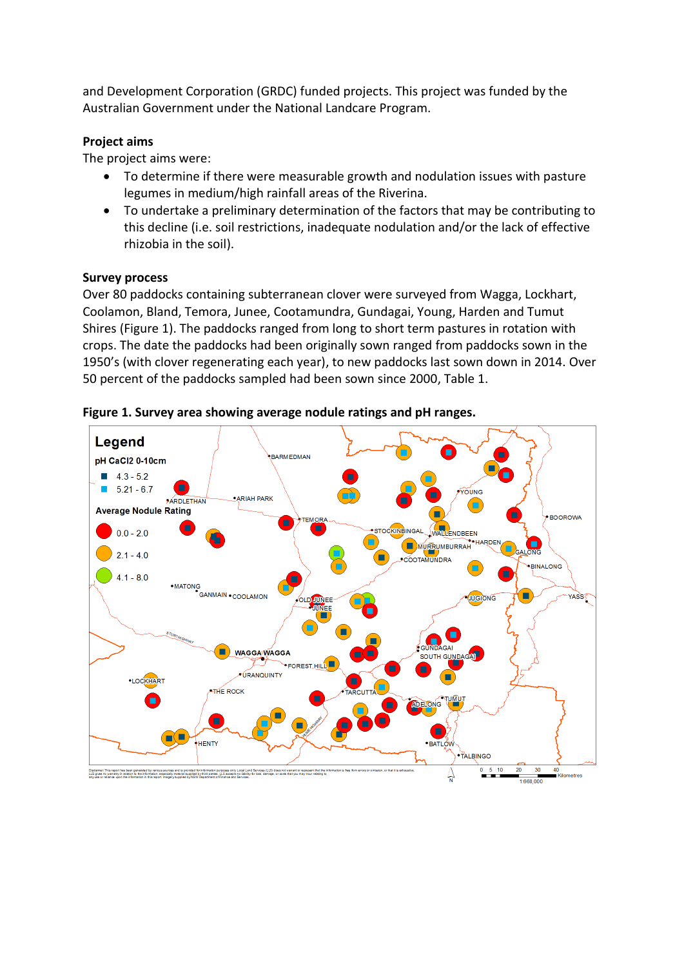and Development Corporation (GRDC) funded projects. This project was funded by the Australian Government under the National Landcare Program.

## **Project aims**

The project aims were:

- To determine if there were measurable growth and nodulation issues with pasture legumes in medium/high rainfall areas of the Riverina.
- To undertake a preliminary determination of the factors that may be contributing to this decline (i.e. soil restrictions, inadequate nodulation and/or the lack of effective rhizobia in the soil).

### **Survey process**

Over 80 paddocks containing subterranean clover were surveyed from Wagga, Lockhart, Coolamon, Bland, Temora, Junee, Cootamundra, Gundagai, Young, Harden and Tumut Shires (Figure 1). The paddocks ranged from long to short term pastures in rotation with crops. The date the paddocks had been originally sown ranged from paddocks sown in the 1950's (with clover regenerating each year), to new paddocks last sown down in 2014. Over 50 percent of the paddocks sampled had been sown since 2000, Table 1.



**Figure 1. Survey area showing average nodule ratings and pH ranges.**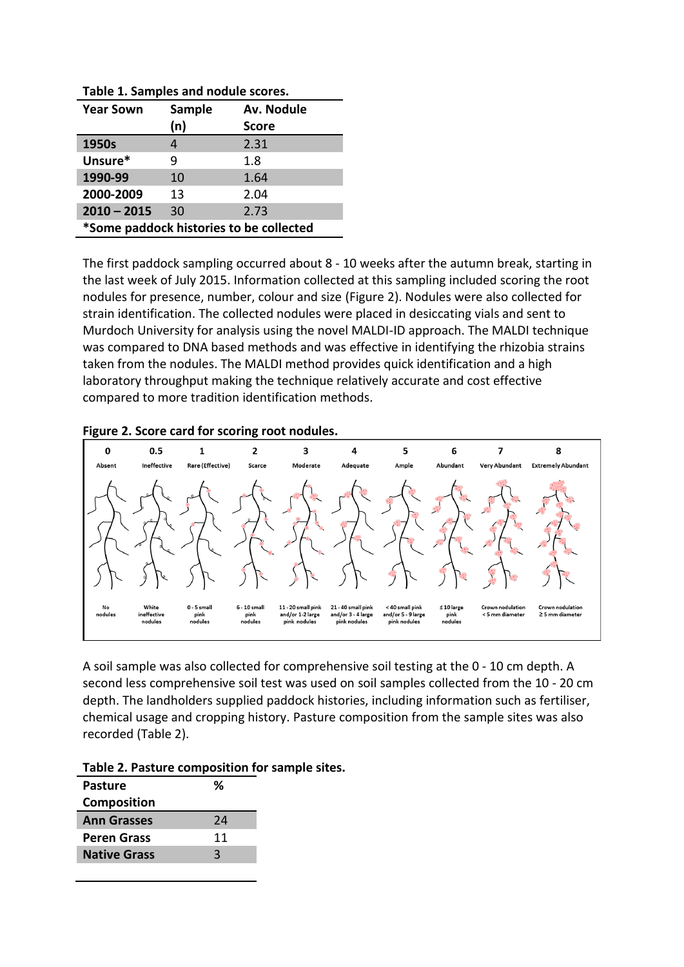| . as . c ±. samples and nowale secres.  |        |              |  |  |
|-----------------------------------------|--------|--------------|--|--|
| <b>Year Sown</b>                        | Sample | Av. Nodule   |  |  |
|                                         | (n)    | <b>Score</b> |  |  |
| 1950s                                   |        | 2.31         |  |  |
| Unsure*                                 | q      | 1.8          |  |  |
| 1990-99                                 | 10     | 1.64         |  |  |
| 2000-2009                               | 13     | 2.04         |  |  |
| $2010 - 2015$                           | 30     | 2.73         |  |  |
| *Some paddock histories to be collected |        |              |  |  |

**Table 1. Samples and nodule scores.**

The first paddock sampling occurred about 8 - 10 weeks after the autumn break, starting in the last week of July 2015. Information collected at this sampling included scoring the root nodules for presence, number, colour and size (Figure 2). Nodules were also collected for strain identification. The collected nodules were placed in desiccating vials and sent to Murdoch University for analysis using the novel MALDI-ID approach. The MALDI technique was compared to DNA based methods and was effective in identifying the rhizobia strains taken from the nodules. The MALDI method provides quick identification and a high laboratory throughput making the technique relatively accurate and cost effective compared to more tradition identification methods.





A soil sample was also collected for comprehensive soil testing at the 0 - 10 cm depth. A second less comprehensive soil test was used on soil samples collected from the 10 - 20 cm depth. The landholders supplied paddock histories, including information such as fertiliser, chemical usage and cropping history. Pasture composition from the sample sites was also recorded (Table 2).

| Table 2. Pasture composition for sample sites. |  |
|------------------------------------------------|--|
|------------------------------------------------|--|

| <b>Pasture</b>      | %  |
|---------------------|----|
| <b>Composition</b>  |    |
| <b>Ann Grasses</b>  | 24 |
| <b>Peren Grass</b>  | 11 |
| <b>Native Grass</b> | 3  |
|                     |    |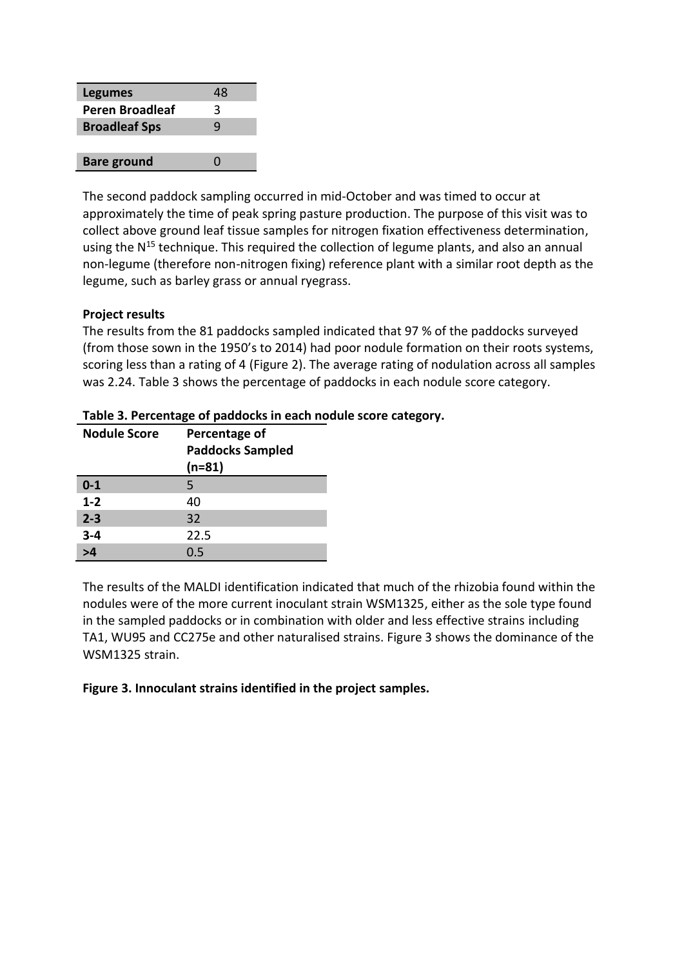| <b>Legumes</b>       | 48                |
|----------------------|-------------------|
| Peren Broadleaf      | 3                 |
| <b>Broadleaf Sps</b> | q                 |
|                      |                   |
| <b>Bare ground</b>   | $\mathbf{\Omega}$ |

The second paddock sampling occurred in mid-October and was timed to occur at approximately the time of peak spring pasture production. The purpose of this visit was to collect above ground leaf tissue samples for nitrogen fixation effectiveness determination, using the  $N^{15}$  technique. This required the collection of legume plants, and also an annual non-legume (therefore non-nitrogen fixing) reference plant with a similar root depth as the legume, such as barley grass or annual ryegrass.

### **Project results**

The results from the 81 paddocks sampled indicated that 97 % of the paddocks surveyed (from those sown in the 1950's to 2014) had poor nodule formation on their roots systems, scoring less than a rating of 4 (Figure 2). The average rating of nodulation across all samples was 2.24. Table 3 shows the percentage of paddocks in each nodule score category.

| <b>Nodule Score</b> | Percentage of<br><b>Paddocks Sampled</b><br>$(n=81)$ |
|---------------------|------------------------------------------------------|
|                     |                                                      |
| $0 - 1$             | 5                                                    |
| $1 - 2$             | 40                                                   |
| $2 - 3$             | 32                                                   |
| $3 - 4$             | 22.5                                                 |
| >1                  | 0.5                                                  |

#### **Table 3. Percentage of paddocks in each nodule score category.**

The results of the MALDI identification indicated that much of the rhizobia found within the nodules were of the more current inoculant strain WSM1325, either as the sole type found in the sampled paddocks or in combination with older and less effective strains including TA1, WU95 and CC275e and other naturalised strains. Figure 3 shows the dominance of the WSM1325 strain.

#### **Figure 3. Innoculant strains identified in the project samples.**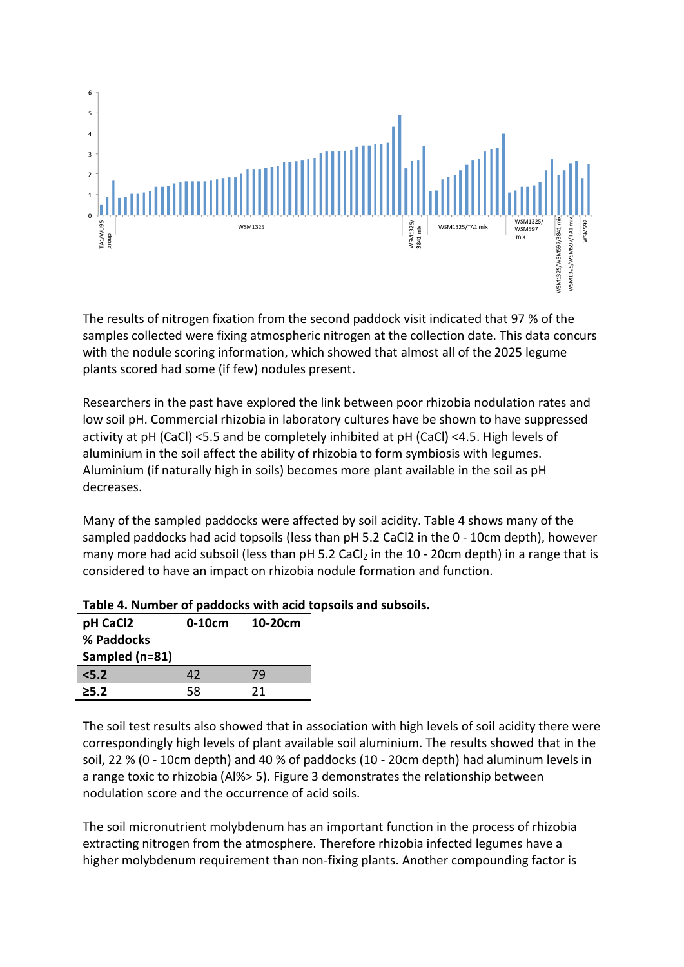

The results of nitrogen fixation from the second paddock visit indicated that 97 % of the samples collected were fixing atmospheric nitrogen at the collection date. This data concurs with the nodule scoring information, which showed that almost all of the 2025 legume plants scored had some (if few) nodules present.

Researchers in the past have explored the link between poor rhizobia nodulation rates and low soil pH. Commercial rhizobia in laboratory cultures have be shown to have suppressed activity at pH (CaCl) <5.5 and be completely inhibited at pH (CaCl) <4.5. High levels of aluminium in the soil affect the ability of rhizobia to form symbiosis with legumes. Aluminium (if naturally high in soils) becomes more plant available in the soil as pH decreases.

Many of the sampled paddocks were affected by soil acidity. Table 4 shows many of the sampled paddocks had acid topsoils (less than pH 5.2 CaCl2 in the 0 - 10cm depth), however many more had acid subsoil (less than  $pH$  5.2 CaCl<sub>2</sub> in the 10 - 20cm depth) in a range that is considered to have an impact on rhizobia nodule formation and function.

| pH CaCl2<br>% Paddocks<br>Sampled (n=81) | $0-10cm$ | 10-20cm |
|------------------------------------------|----------|---------|
| $5.2$                                    | 42       | 79      |
| $\geq 5.2$                               | 58       | 21      |

## **Table 4. Number of paddocks with acid topsoils and subsoils.**

The soil test results also showed that in association with high levels of soil acidity there were correspondingly high levels of plant available soil aluminium. The results showed that in the soil, 22 % (0 - 10cm depth) and 40 % of paddocks (10 - 20cm depth) had aluminum levels in a range toxic to rhizobia (Al%> 5). Figure 3 demonstrates the relationship between nodulation score and the occurrence of acid soils.

The soil micronutrient molybdenum has an important function in the process of rhizobia extracting nitrogen from the atmosphere. Therefore rhizobia infected legumes have a higher molybdenum requirement than non-fixing plants. Another compounding factor is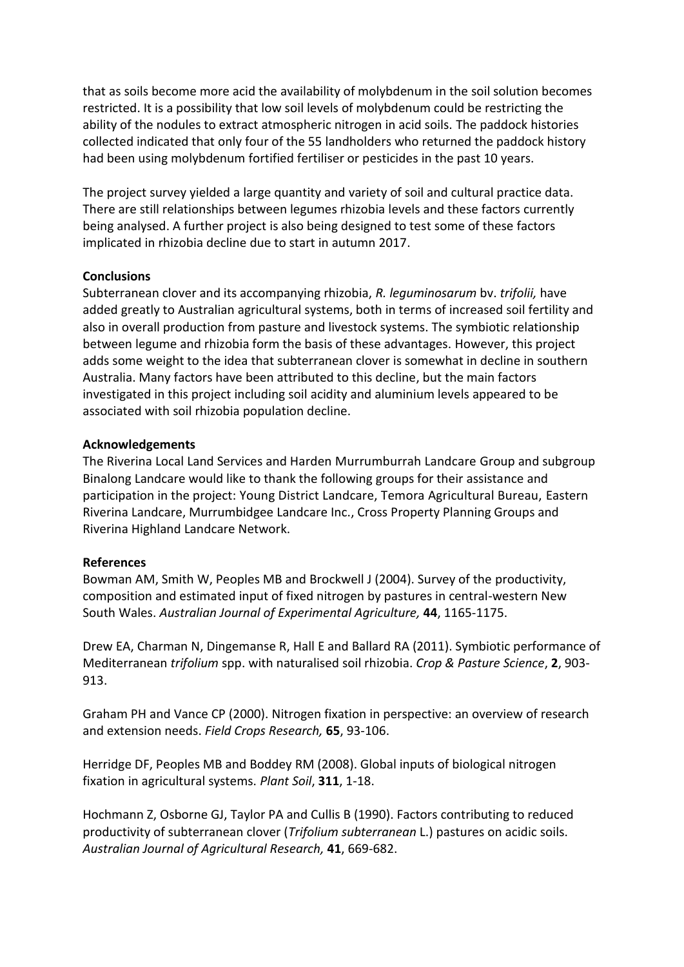that as soils become more acid the availability of molybdenum in the soil solution becomes restricted. It is a possibility that low soil levels of molybdenum could be restricting the ability of the nodules to extract atmospheric nitrogen in acid soils. The paddock histories collected indicated that only four of the 55 landholders who returned the paddock history had been using molybdenum fortified fertiliser or pesticides in the past 10 years.

The project survey yielded a large quantity and variety of soil and cultural practice data. There are still relationships between legumes rhizobia levels and these factors currently being analysed. A further project is also being designed to test some of these factors implicated in rhizobia decline due to start in autumn 2017.

#### **Conclusions**

Subterranean clover and its accompanying rhizobia, *R. leguminosarum* bv. *trifolii,* have added greatly to Australian agricultural systems, both in terms of increased soil fertility and also in overall production from pasture and livestock systems. The symbiotic relationship between legume and rhizobia form the basis of these advantages. However, this project adds some weight to the idea that subterranean clover is somewhat in decline in southern Australia. Many factors have been attributed to this decline, but the main factors investigated in this project including soil acidity and aluminium levels appeared to be associated with soil rhizobia population decline.

#### **Acknowledgements**

The Riverina Local Land Services and Harden Murrumburrah Landcare Group and subgroup Binalong Landcare would like to thank the following groups for their assistance and participation in the project: Young District Landcare, Temora Agricultural Bureau, Eastern Riverina Landcare, Murrumbidgee Landcare Inc., Cross Property Planning Groups and Riverina Highland Landcare Network.

## **References**

Bowman AM, Smith W, Peoples MB and Brockwell J (2004). Survey of the productivity, composition and estimated input of fixed nitrogen by pastures in central-western New South Wales. *Australian Journal of Experimental Agriculture,* **44**, 1165-1175.

Drew EA, Charman N, Dingemanse R, Hall E and Ballard RA (2011). Symbiotic performance of Mediterranean *trifolium* spp. with naturalised soil rhizobia. *Crop & Pasture Science*, **2**, 903- 913.

Graham PH and Vance CP (2000). Nitrogen fixation in perspective: an overview of research and extension needs. *Field Crops Research,* **65**, 93-106.

Herridge DF, Peoples MB and Boddey RM (2008). Global inputs of biological nitrogen fixation in agricultural systems. *Plant Soil*, **311**, 1-18.

Hochmann Z, Osborne GJ, Taylor PA and Cullis B (1990). Factors contributing to reduced productivity of subterranean clover (*Trifolium subterranean* L.) pastures on acidic soils. *Australian Journal of Agricultural Research,* **41**, 669-682.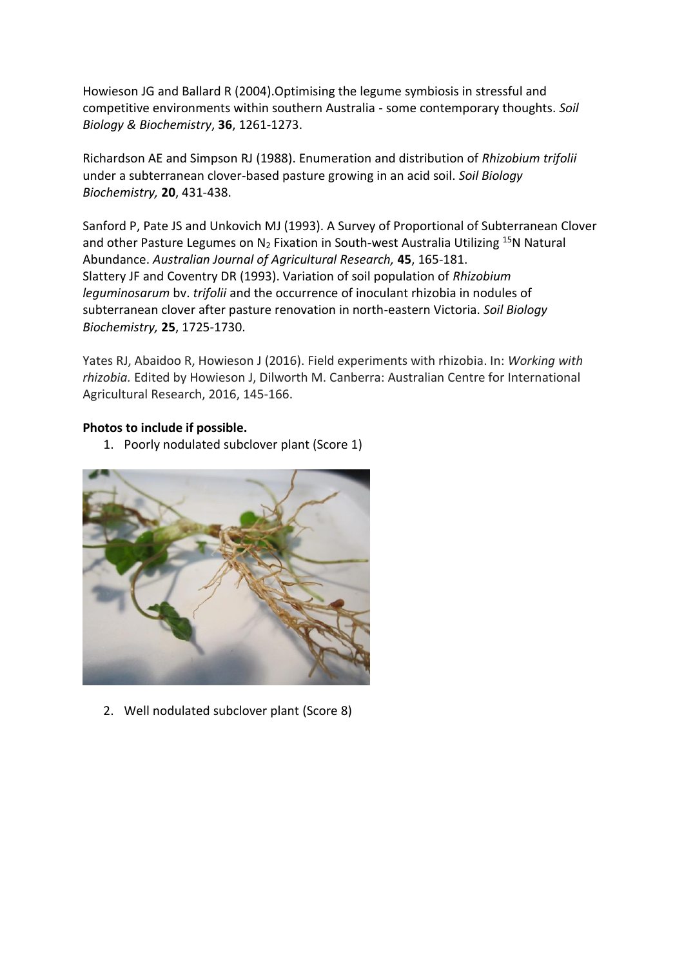Howieson JG and Ballard R (2004).Optimising the legume symbiosis in stressful and competitive environments within southern Australia - some contemporary thoughts. *Soil Biology & Biochemistry*, **36**, 1261-1273.

Richardson AE and Simpson RJ (1988). Enumeration and distribution of *Rhizobium trifolii* under a subterranean clover-based pasture growing in an acid soil. *Soil Biology Biochemistry,* **20**, 431-438.

Sanford P, Pate JS and Unkovich MJ (1993). A Survey of Proportional of Subterranean Clover and other Pasture Legumes on  $N_2$  Fixation in South-west Australia Utilizing <sup>15</sup>N Natural Abundance. *Australian Journal of Agricultural Research,* **45**, 165-181. Slattery JF and Coventry DR (1993). Variation of soil population of *Rhizobium leguminosarum* bv. *trifolii* and the occurrence of inoculant rhizobia in nodules of subterranean clover after pasture renovation in north-eastern Victoria. *Soil Biology Biochemistry,* **25**, 1725-1730.

Yates RJ, Abaidoo R, Howieson J (2016). Field experiments with rhizobia. In: *Working with rhizobia.* Edited by Howieson J, Dilworth M. Canberra: Australian Centre for International Agricultural Research, 2016, 145-166.

#### **Photos to include if possible.**

1. Poorly nodulated subclover plant (Score 1)



2. Well nodulated subclover plant (Score 8)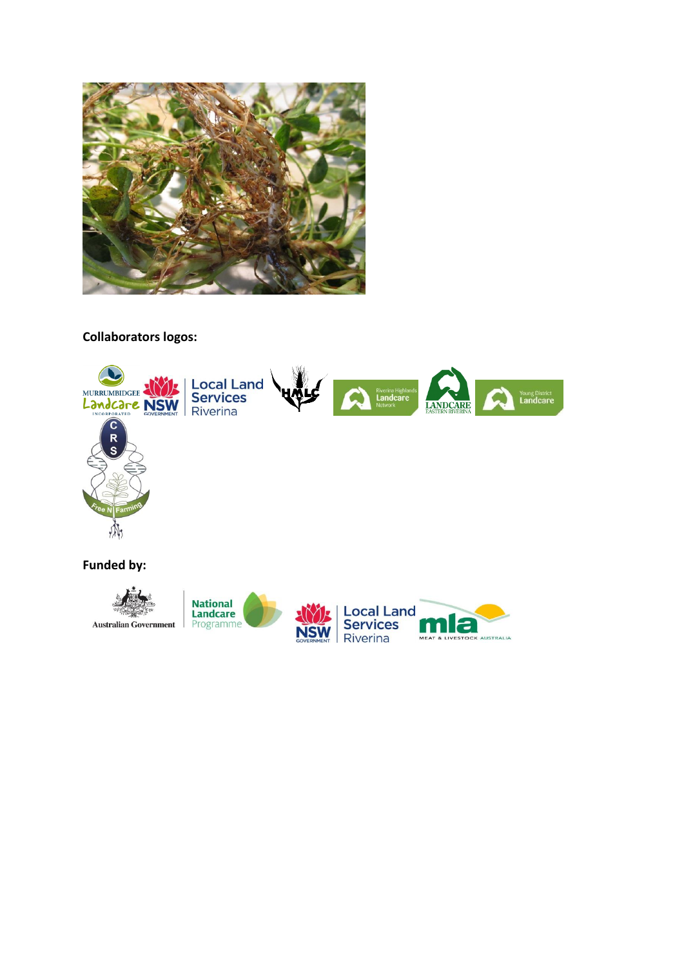

# **Collaborators logos:**



**Funded by:**